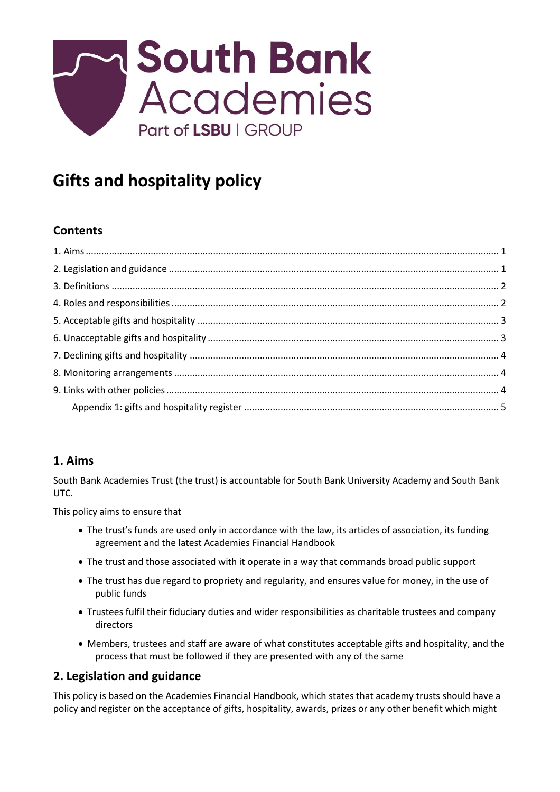

# **Gifts and hospitality policy**

# **Contents**

# <span id="page-0-0"></span>**1. Aims**

South Bank Academies Trust (the trust) is accountable for South Bank University Academy and South Bank UTC.

This policy aims to ensure that

- The trust's funds are used only in accordance with the law, its articles of association, its funding agreement and the latest Academies Financial Handbook
- The trust and those associated with it operate in a way that commands broad public support
- The trust has due regard to propriety and regularity, and ensures value for money, in the use of public funds
- Trustees fulfil their fiduciary duties and wider responsibilities as charitable trustees and company directors
- Members, trustees and staff are aware of what constitutes acceptable gifts and hospitality, and the process that must be followed if they are presented with any of the same

# <span id="page-0-1"></span>**2. Legislation and guidance**

This policy is based on the [Academies Financial Handbook,](https://www.gov.uk/guidance/academies-financial-handbook) which states that academy trusts should have a policy and register on the acceptance of gifts, hospitality, awards, prizes or any other benefit which might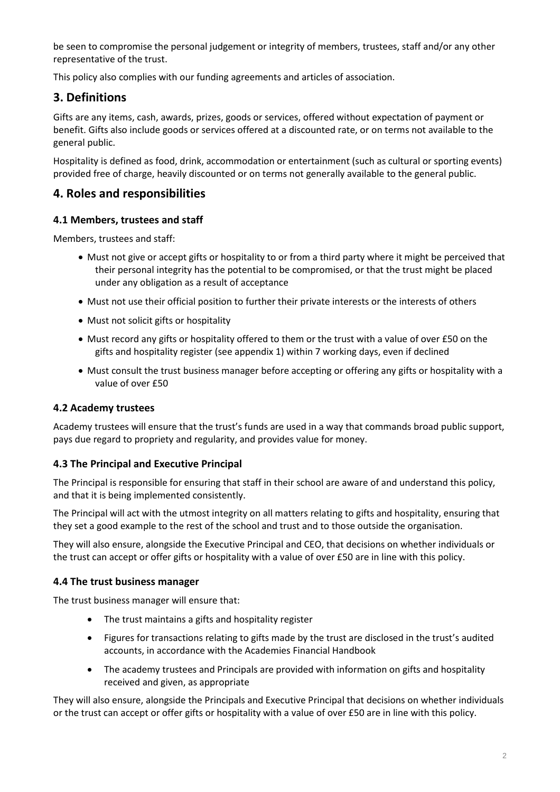be seen to compromise the personal judgement or integrity of members, trustees, staff and/or any other representative of the trust.

This policy also complies with our funding agreements and articles of association.

# <span id="page-1-0"></span>**3. Definitions**

Gifts are any items, cash, awards, prizes, goods or services, offered without expectation of payment or benefit. Gifts also include goods or services offered at a discounted rate, or on terms not available to the general public.

Hospitality is defined as food, drink, accommodation or entertainment (such as cultural or sporting events) provided free of charge, heavily discounted or on terms not generally available to the general public.

# <span id="page-1-1"></span>**4. Roles and responsibilities**

#### **4.1 Members, trustees and staff**

Members, trustees and staff:

- Must not give or accept gifts or hospitality to or from a third party where it might be perceived that their personal integrity has the potential to be compromised, or that the trust might be placed under any obligation as a result of acceptance
- Must not use their official position to further their private interests or the interests of others
- Must not solicit gifts or hospitality
- Must record any gifts or hospitality offered to them or the trust with a value of over £50 on the gifts and hospitality register (see appendix 1) within 7 working days, even if declined
- Must consult the trust business manager before accepting or offering any gifts or hospitality with a value of over £50

#### **4.2 Academy trustees**

Academy trustees will ensure that the trust's funds are used in a way that commands broad public support, pays due regard to propriety and regularity, and provides value for money.

#### **4.3 The Principal and Executive Principal**

The Principal is responsible for ensuring that staff in their school are aware of and understand this policy, and that it is being implemented consistently.

The Principal will act with the utmost integrity on all matters relating to gifts and hospitality, ensuring that they set a good example to the rest of the school and trust and to those outside the organisation.

They will also ensure, alongside the Executive Principal and CEO, that decisions on whether individuals or the trust can accept or offer gifts or hospitality with a value of over £50 are in line with this policy.

#### **4.4 The trust business manager**

The trust business manager will ensure that:

- The trust maintains a gifts and hospitality register
- Figures for transactions relating to gifts made by the trust are disclosed in the trust's audited accounts, in accordance with the Academies Financial Handbook
- The academy trustees and Principals are provided with information on gifts and hospitality received and given, as appropriate

They will also ensure, alongside the Principals and Executive Principal that decisions on whether individuals or the trust can accept or offer gifts or hospitality with a value of over £50 are in line with this policy.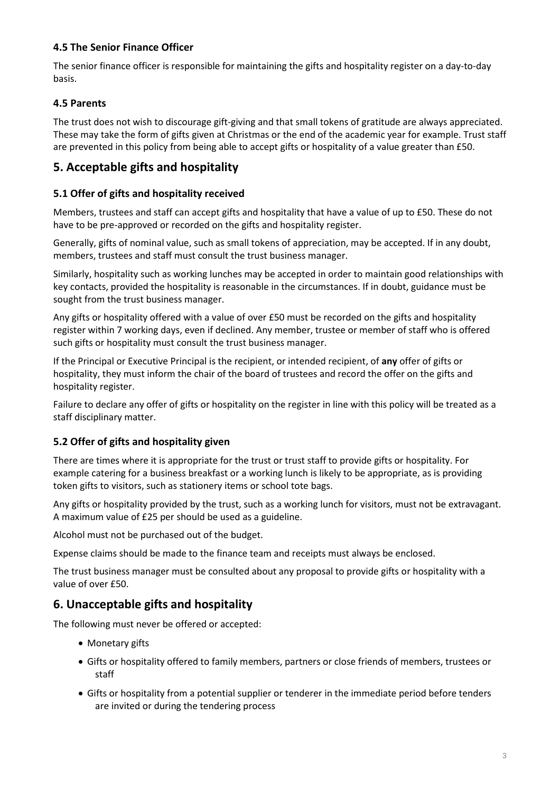#### **4.5 The Senior Finance Officer**

The senior finance officer is responsible for maintaining the gifts and hospitality register on a day-to-day basis.

#### **4.5 Parents**

The trust does not wish to discourage gift-giving and that small tokens of gratitude are always appreciated. These may take the form of gifts given at Christmas or the end of the academic year for example. Trust staff are prevented in this policy from being able to accept gifts or hospitality of a value greater than £50.

#### <span id="page-2-0"></span>**5. Acceptable gifts and hospitality**

#### **5.1 Offer of gifts and hospitality received**

Members, trustees and staff can accept gifts and hospitality that have a value of up to £50. These do not have to be pre-approved or recorded on the gifts and hospitality register.

Generally, gifts of nominal value, such as small tokens of appreciation, may be accepted. If in any doubt, members, trustees and staff must consult the trust business manager.

Similarly, hospitality such as working lunches may be accepted in order to maintain good relationships with key contacts, provided the hospitality is reasonable in the circumstances. If in doubt, guidance must be sought from the trust business manager.

Any gifts or hospitality offered with a value of over £50 must be recorded on the gifts and hospitality register within 7 working days, even if declined. Any member, trustee or member of staff who is offered such gifts or hospitality must consult the trust business manager.

If the Principal or Executive Principal is the recipient, or intended recipient, of **any** offer of gifts or hospitality, they must inform the chair of the board of trustees and record the offer on the gifts and hospitality register.

Failure to declare any offer of gifts or hospitality on the register in line with this policy will be treated as a staff disciplinary matter.

#### **5.2 Offer of gifts and hospitality given**

There are times where it is appropriate for the trust or trust staff to provide gifts or hospitality. For example catering for a business breakfast or a working lunch is likely to be appropriate, as is providing token gifts to visitors, such as stationery items or school tote bags.

Any gifts or hospitality provided by the trust, such as a working lunch for visitors, must not be extravagant. A maximum value of £25 per should be used as a guideline.

Alcohol must not be purchased out of the budget.

Expense claims should be made to the finance team and receipts must always be enclosed.

The trust business manager must be consulted about any proposal to provide gifts or hospitality with a value of over £50.

#### <span id="page-2-1"></span>**6. Unacceptable gifts and hospitality**

The following must never be offered or accepted:

- Monetary gifts
- Gifts or hospitality offered to family members, partners or close friends of members, trustees or staff
- Gifts or hospitality from a potential supplier or tenderer in the immediate period before tenders are invited or during the tendering process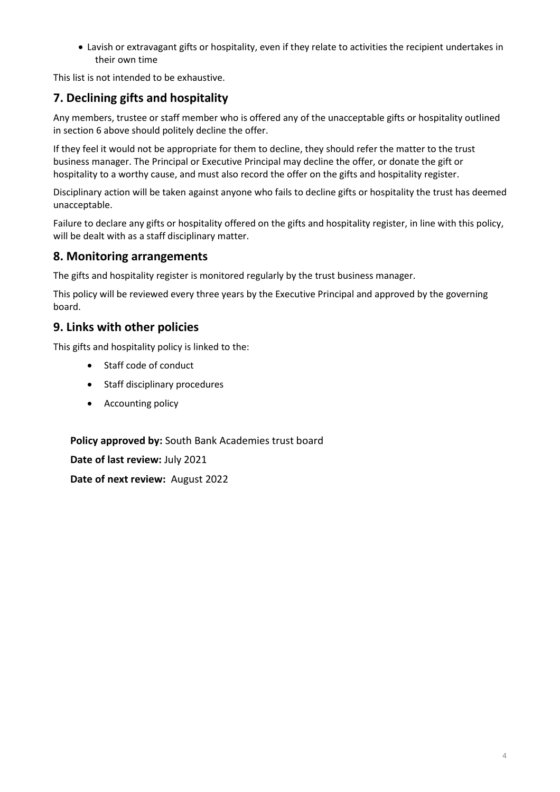• Lavish or extravagant gifts or hospitality, even if they relate to activities the recipient undertakes in their own time

This list is not intended to be exhaustive.

# <span id="page-3-0"></span>**7. Declining gifts and hospitality**

Any members, trustee or staff member who is offered any of the unacceptable gifts or hospitality outlined in section 6 above should politely decline the offer.

If they feel it would not be appropriate for them to decline, they should refer the matter to the trust business manager. The Principal or Executive Principal may decline the offer, or donate the gift or hospitality to a worthy cause, and must also record the offer on the gifts and hospitality register.

Disciplinary action will be taken against anyone who fails to decline gifts or hospitality the trust has deemed unacceptable.

Failure to declare any gifts or hospitality offered on the gifts and hospitality register, in line with this policy, will be dealt with as a staff disciplinary matter.

# <span id="page-3-1"></span>**8. Monitoring arrangements**

The gifts and hospitality register is monitored regularly by the trust business manager.

This policy will be reviewed every three years by the Executive Principal and approved by the governing board.

### <span id="page-3-2"></span>**9. Links with other policies**

This gifts and hospitality policy is linked to the:

- Staff code of conduct
- Staff disciplinary procedures
- Accounting policy

**Policy approved by:** South Bank Academies trust board

**Date of last review:** July 2021

**Date of next review:** August 2022